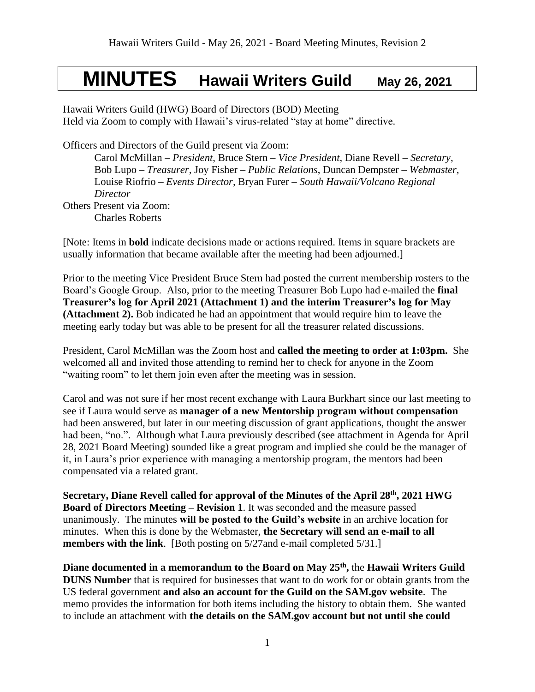## **MINUTES Hawaii Writers Guild May 26, 2021**

Hawaii Writers Guild (HWG) Board of Directors (BOD) Meeting Held via Zoom to comply with Hawaii's virus-related "stay at home" directive.

Officers and Directors of the Guild present via Zoom:

Carol McMillan – *President*, Bruce Stern – *Vice President*, Diane Revell – *Secretary*, Bob Lupo – *Treasurer,* Joy Fisher – *Public Relations*, Duncan Dempster – *Webmaster,*  Louise Riofrio – *Events Director,* Bryan Furer – *South Hawaii/Volcano Regional Director* Others Present via Zoom: Charles Roberts

[Note: Items in **bold** indicate decisions made or actions required. Items in square brackets are usually information that became available after the meeting had been adjourned.]

Prior to the meeting Vice President Bruce Stern had posted the current membership rosters to the Board's Google Group. Also, prior to the meeting Treasurer Bob Lupo had e-mailed the **final Treasurer's log for April 2021 (Attachment 1) and the interim Treasurer's log for May (Attachment 2).** Bob indicated he had an appointment that would require him to leave the meeting early today but was able to be present for all the treasurer related discussions.

President, Carol McMillan was the Zoom host and **called the meeting to order at 1:03pm.** She welcomed all and invited those attending to remind her to check for anyone in the Zoom "waiting room" to let them join even after the meeting was in session.

Carol and was not sure if her most recent exchange with Laura Burkhart since our last meeting to see if Laura would serve as **manager of a new Mentorship program without compensation** had been answered, but later in our meeting discussion of grant applications, thought the answer had been, "no.". Although what Laura previously described (see attachment in Agenda for April 28, 2021 Board Meeting) sounded like a great program and implied she could be the manager of it, in Laura's prior experience with managing a mentorship program, the mentors had been compensated via a related grant.

**Secretary, Diane Revell called for approval of the Minutes of the April 28 th, 2021 HWG Board of Directors Meeting – Revision 1**. It was seconded and the measure passed unanimously. The minutes **will be posted to the Guild's website** in an archive location for minutes. When this is done by the Webmaster, **the Secretary will send an e-mail to all members with the link**. [Both posting on 5/27and e-mail completed 5/31.]

**Diane documented in a memorandum to the Board on May 25th ,** the **Hawaii Writers Guild DUNS Number** that is required for businesses that want to do work for or obtain grants from the US federal government **and also an account for the Guild on the SAM.gov website**. The memo provides the information for both items including the history to obtain them. She wanted to include an attachment with **the details on the SAM.gov account but not until she could**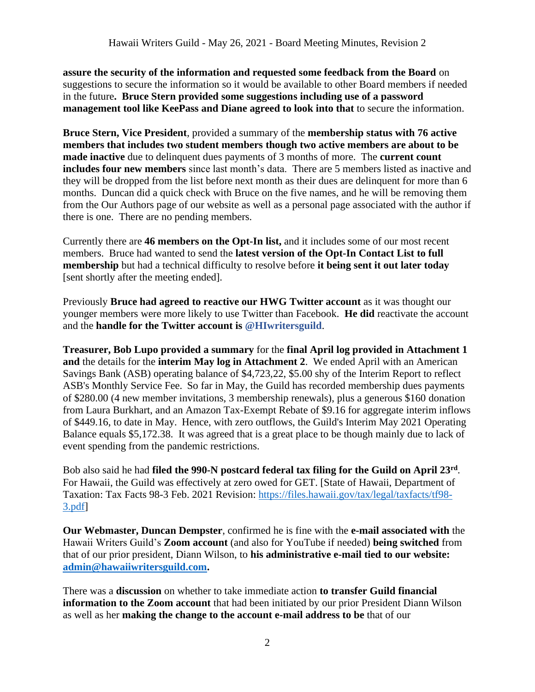**assure the security of the information and requested some feedback from the Board** on suggestions to secure the information so it would be available to other Board members if needed in the future**. Bruce Stern provided some suggestions including use of a password management tool like KeePass and Diane agreed to look into that** to secure the information.

**Bruce Stern, Vice President**, provided a summary of the **membership status with 76 active members that includes two student members though two active members are about to be made inactive** due to delinquent dues payments of 3 months of more. The **current count includes four new members** since last month's data. There are 5 members listed as inactive and they will be dropped from the list before next month as their dues are delinquent for more than 6 months. Duncan did a quick check with Bruce on the five names, and he will be removing them from the Our Authors page of our website as well as a personal page associated with the author if there is one. There are no pending members.

Currently there are **46 members on the Opt-In list,** and it includes some of our most recent members. Bruce had wanted to send the **latest version of the Opt-In Contact List to full membership** but had a technical difficulty to resolve before **it being sent it out later today** [sent shortly after the meeting ended].

Previously **Bruce had agreed to reactive our HWG Twitter account** as it was thought our younger members were more likely to use Twitter than Facebook. **He did** reactivate the account and the **handle for the Twitter account is @HIwritersguild**.

**Treasurer, Bob Lupo provided a summary** for the **final April log provided in Attachment 1 and** the details for the **interim May log in Attachment 2**. We ended April with an American Savings Bank (ASB) operating balance of \$4,723,22, \$5.00 shy of the Interim Report to reflect ASB's Monthly Service Fee. So far in May, the Guild has recorded membership dues payments of \$280.00 (4 new member invitations, 3 membership renewals), plus a generous \$160 donation from Laura Burkhart, and an Amazon Tax-Exempt Rebate of \$9.16 for aggregate interim inflows of \$449.16, to date in May. Hence, with zero outflows, the Guild's Interim May 2021 Operating Balance equals \$5,172.38. It was agreed that is a great place to be though mainly due to lack of event spending from the pandemic restrictions.

Bob also said he had **filed the 990-N postcard federal tax filing for the Guild on April 23rd** . For Hawaii, the Guild was effectively at zero owed for GET. [State of Hawaii, Department of Taxation: Tax Facts 98-3 Feb. 2021 Revision: [https://files.hawaii.gov/tax/legal/taxfacts/tf98-](https://files.hawaii.gov/tax/legal/taxfacts/tf98-3.pdf) [3.pdf\]](https://files.hawaii.gov/tax/legal/taxfacts/tf98-3.pdf)

**Our Webmaster, Duncan Dempster**, confirmed he is fine with the **e-mail associated with** the Hawaii Writers Guild's **Zoom account** (and also for YouTube if needed) **being switched** from that of our prior president, Diann Wilson, to **his administrative e-mail tied to our website: [admin@hawaiiwritersguild.com.](mailto:admin@hawaiiwritersguild.com)**

There was a **discussion** on whether to take immediate action **to transfer Guild financial information to the Zoom account** that had been initiated by our prior President Diann Wilson as well as her **making the change to the account e-mail address to be** that of our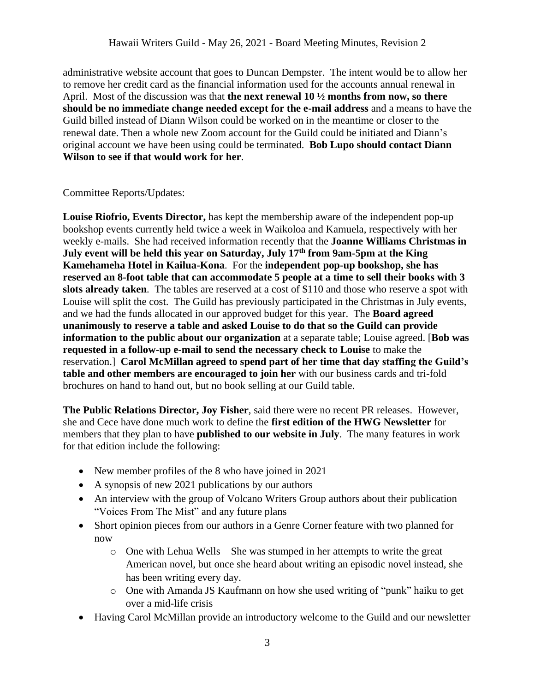administrative website account that goes to Duncan Dempster. The intent would be to allow her to remove her credit card as the financial information used for the accounts annual renewal in April. Most of the discussion was that **the next renewal 10 ½ months from now, so there should be no immediate change needed except for the e-mail address** and a means to have the Guild billed instead of Diann Wilson could be worked on in the meantime or closer to the renewal date. Then a whole new Zoom account for the Guild could be initiated and Diann's original account we have been using could be terminated. **Bob Lupo should contact Diann Wilson to see if that would work for her**.

## Committee Reports/Updates:

**Louise Riofrio, Events Director,** has kept the membership aware of the independent pop-up bookshop events currently held twice a week in Waikoloa and Kamuela, respectively with her weekly e-mails. She had received information recently that the **Joanne Williams Christmas in July event will be held this year on Saturday, July 17th from 9am-5pm at the King Kamehameha Hotel in Kailua-Kona**. For the **independent pop-up bookshop, she has reserved an 8-foot table that can accommodate 5 people at a time to sell their books with 3 slots already taken**. The tables are reserved at a cost of \$110 and those who reserve a spot with Louise will split the cost. The Guild has previously participated in the Christmas in July events, and we had the funds allocated in our approved budget for this year. The **Board agreed unanimously to reserve a table and asked Louise to do that so the Guild can provide information to the public about our organization** at a separate table; Louise agreed. [**Bob was requested in a follow-up e-mail to send the necessary check to Louise** to make the reservation.] **Carol McMillan agreed to spend part of her time that day staffing the Guild's table and other members are encouraged to join her** with our business cards and tri-fold brochures on hand to hand out, but no book selling at our Guild table.

**The Public Relations Director, Joy Fisher**, said there were no recent PR releases. However, she and Cece have done much work to define the **first edition of the HWG Newsletter** for members that they plan to have **published to our website in July**. The many features in work for that edition include the following:

- New member profiles of the 8 who have joined in 2021
- A synopsis of new 2021 publications by our authors
- An interview with the group of Volcano Writers Group authors about their publication "Voices From The Mist" and any future plans
- Short opinion pieces from our authors in a Genre Corner feature with two planned for now
	- $\circ$  One with Lehua Wells She was stumped in her attempts to write the great American novel, but once she heard about writing an episodic novel instead, she has been writing every day.
	- o One with Amanda JS Kaufmann on how she used writing of "punk" haiku to get over a mid-life crisis
- Having Carol McMillan provide an introductory welcome to the Guild and our newsletter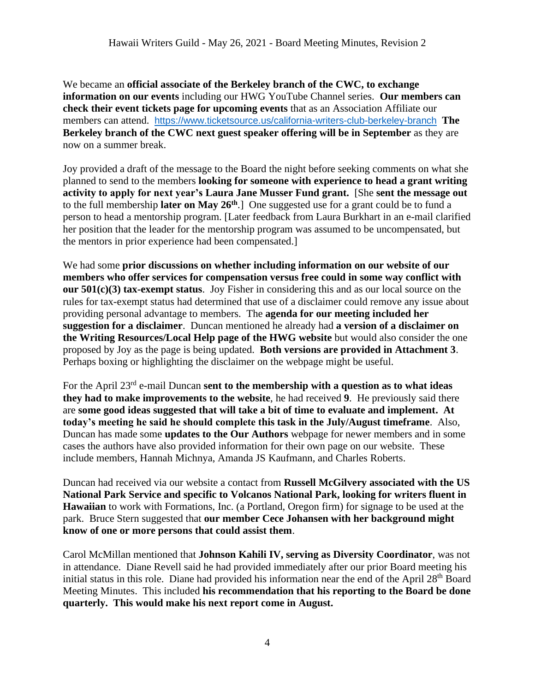We became an **official associate of the Berkeley branch of the CWC, to exchange information on our events** including our HWG YouTube Channel series. **Our members can check their event tickets page for upcoming events** that as an Association Affiliate our members can attend. <https://www.ticketsource.us/california-writers-club-berkeley-branch> **The Berkeley branch of the CWC next guest speaker offering will be in September** as they are now on a summer break.

Joy provided a draft of the message to the Board the night before seeking comments on what she planned to send to the members **looking for someone with experience to head a grant writing activity to apply for next year's Laura Jane Musser Fund grant.** [She **sent the message out**  to the full membership **later on May 26th**.] One suggested use for a grant could be to fund a person to head a mentorship program. [Later feedback from Laura Burkhart in an e-mail clarified her position that the leader for the mentorship program was assumed to be uncompensated, but the mentors in prior experience had been compensated.]

We had some **prior discussions on whether including information on our website of our members who offer services for compensation versus free could in some way conflict with our 501(c)(3) tax-exempt status**. Joy Fisher in considering this and as our local source on the rules for tax-exempt status had determined that use of a disclaimer could remove any issue about providing personal advantage to members. The **agenda for our meeting included her suggestion for a disclaimer**. Duncan mentioned he already had **a version of a disclaimer on the Writing Resources/Local Help page of the HWG website** but would also consider the one proposed by Joy as the page is being updated. **Both versions are provided in Attachment 3**. Perhaps boxing or highlighting the disclaimer on the webpage might be useful.

For the April 23rd e-mail Duncan **sent to the membership with a question as to what ideas they had to make improvements to the website**, he had received **9**. He previously said there are **some good ideas suggested that will take a bit of time to evaluate and implement. At today's meeting he said he should complete this task in the July/August timeframe**. Also, Duncan has made some **updates to the Our Authors** webpage for newer members and in some cases the authors have also provided information for their own page on our website. These include members, Hannah Michnya, Amanda JS Kaufmann, and Charles Roberts.

Duncan had received via our website a contact from **Russell McGilvery associated with the US National Park Service and specific to Volcanos National Park, looking for writers fluent in Hawaiian** to work with Formations, Inc. (a Portland, Oregon firm) for signage to be used at the park. Bruce Stern suggested that **our member Cece Johansen with her background might know of one or more persons that could assist them**.

Carol McMillan mentioned that **Johnson Kahili IV, serving as Diversity Coordinator**, was not in attendance. Diane Revell said he had provided immediately after our prior Board meeting his initial status in this role. Diane had provided his information near the end of the April 28<sup>th</sup> Board Meeting Minutes. This included **his recommendation that his reporting to the Board be done quarterly. This would make his next report come in August.**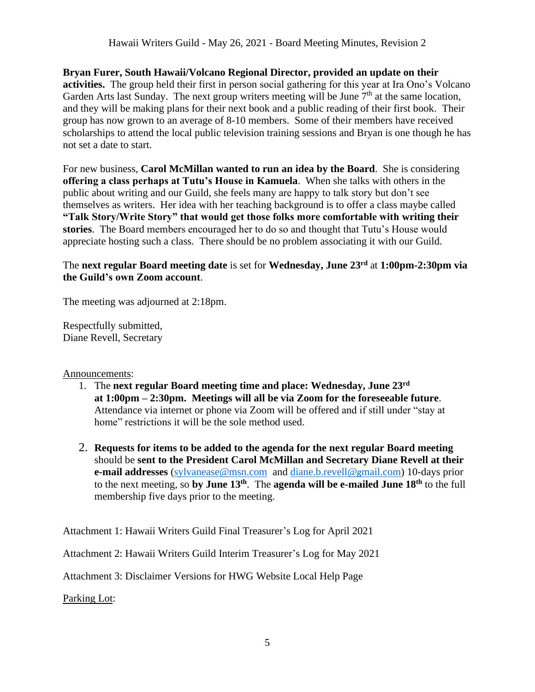**Bryan Furer, South Hawaii/Volcano Regional Director, provided an update on their activities.** The group held their first in person social gathering for this year at Ira Ono's Volcano Garden Arts last Sunday. The next group writers meeting will be June  $7<sup>th</sup>$  at the same location, and they will be making plans for their next book and a public reading of their first book. Their group has now grown to an average of 8-10 members. Some of their members have received scholarships to attend the local public television training sessions and Bryan is one though he has not set a date to start.

For new business, **Carol McMillan wanted to run an idea by the Board**. She is considering **offering a class perhaps at Tutu's House in Kamuela**. When she talks with others in the public about writing and our Guild, she feels many are happy to talk story but don't see themselves as writers. Her idea with her teaching background is to offer a class maybe called **"Talk Story/Write Story" that would get those folks more comfortable with writing their stories**. The Board members encouraged her to do so and thought that Tutu's House would appreciate hosting such a class. There should be no problem associating it with our Guild.

## The **next regular Board meeting date** is set for **Wednesday, June 23 rd** at **1:00pm-2:30pm via the Guild's own Zoom account**.

The meeting was adjourned at 2:18pm.

Respectfully submitted, Diane Revell, Secretary

## Announcements:

- 1. The **next regular Board meeting time and place: Wednesday, June 23 rd at 1:00pm – 2:30pm. Meetings will all be via Zoom for the foreseeable future**. Attendance via internet or phone via Zoom will be offered and if still under "stay at home" restrictions it will be the sole method used.
- 2. **Requests for items to be added to the agenda for the next regular Board meeting** should be **sent to the President Carol McMillan and Secretary Diane Revell at their e-mail addresses** [\(sylvanease@msn.com](mailto:sylvanease@msn.com) and [diane.b.revell@](mailto:diane.b.revell@gmail.com)gmail.com) 10-days prior to the next meeting, so **by June 13 th** . The **agenda will be e-mailed June 18th** to the full membership five days prior to the meeting.

Attachment 1: Hawaii Writers Guild Final Treasurer's Log for April 2021

Attachment 2: Hawaii Writers Guild Interim Treasurer's Log for May 2021

Attachment 3: Disclaimer Versions for HWG Website Local Help Page

Parking Lot: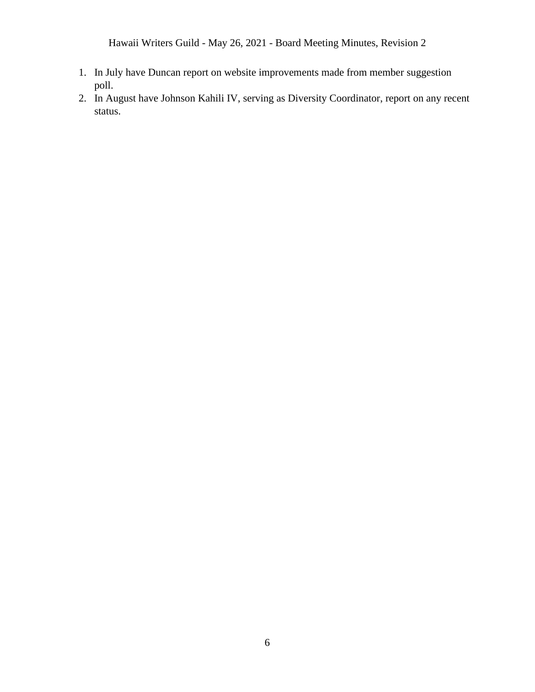Hawaii Writers Guild - May 26, 2021 - Board Meeting Minutes, Revision 2

- 1. In July have Duncan report on website improvements made from member suggestion poll.
- 2. In August have Johnson Kahili IV, serving as Diversity Coordinator, report on any recent status.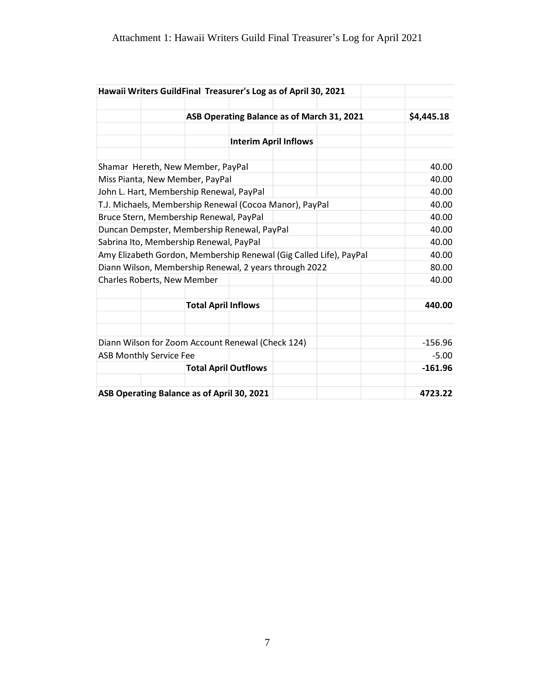|                                                                    |       |                                            |            | Hawaii Writers GuildFinal Treasurer's Log as of April 30, 2021 |  |           |
|--------------------------------------------------------------------|-------|--------------------------------------------|------------|----------------------------------------------------------------|--|-----------|
|                                                                    |       | ASB Operating Balance as of March 31, 2021 | \$4,445.18 |                                                                |  |           |
|                                                                    |       |                                            |            |                                                                |  |           |
|                                                                    |       |                                            |            |                                                                |  |           |
|                                                                    |       | Shamar Hereth, New Member, PayPal          |            |                                                                |  | 40.00     |
|                                                                    |       | Miss Pianta, New Member, PayPal            |            |                                                                |  | 40.00     |
| John L. Hart, Membership Renewal, PayPal                           |       |                                            |            |                                                                |  | 40.00     |
| T.J. Michaels, Membership Renewal (Cocoa Manor), PayPal            | 40.00 |                                            |            |                                                                |  |           |
| Bruce Stern, Membership Renewal, PayPal                            | 40.00 |                                            |            |                                                                |  |           |
| Duncan Dempster, Membership Renewal, PayPal                        | 40.00 |                                            |            |                                                                |  |           |
| Sabrina Ito, Membership Renewal, PayPal                            | 40.00 |                                            |            |                                                                |  |           |
| Amy Elizabeth Gordon, Membership Renewal (Gig Called Life), PayPal | 40.00 |                                            |            |                                                                |  |           |
| Diann Wilson, Membership Renewal, 2 years through 2022             | 80.00 |                                            |            |                                                                |  |           |
| Charles Roberts, New Member                                        |       |                                            |            |                                                                |  | 40.00     |
|                                                                    |       | <b>Total April Inflows</b>                 |            |                                                                |  | 440.00    |
|                                                                    |       |                                            |            |                                                                |  |           |
| Diann Wilson for Zoom Account Renewal (Check 124)                  |       |                                            |            |                                                                |  | $-156.96$ |
| <b>ASB Monthly Service Fee</b>                                     |       |                                            |            |                                                                |  | $-5.00$   |
|                                                                    |       | <b>Total April Outflows</b>                |            |                                                                |  | $-161.96$ |
|                                                                    |       | ASB Operating Balance as of April 30, 2021 |            |                                                                |  | 4723.22   |
|                                                                    |       |                                            |            |                                                                |  |           |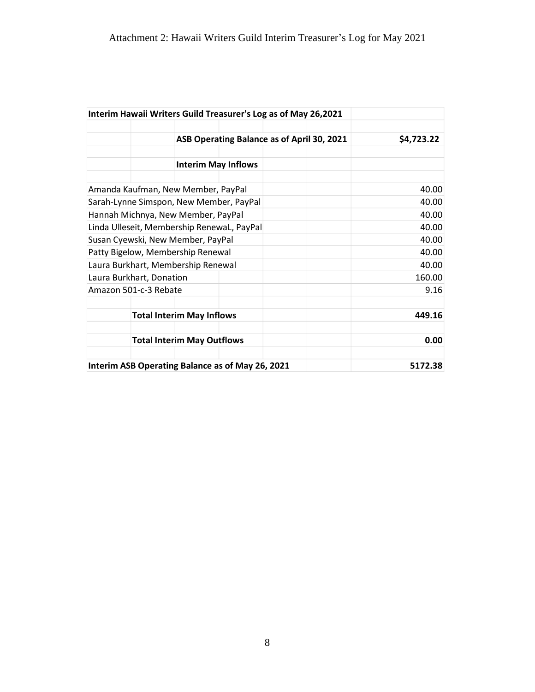|                                            | Interim Hawaii Writers Guild Treasurer's Log as of May 26,2021 |                                            |       |  |         |  |  |
|--------------------------------------------|----------------------------------------------------------------|--------------------------------------------|-------|--|---------|--|--|
|                                            |                                                                | ASB Operating Balance as of April 30, 2021 |       |  |         |  |  |
|                                            |                                                                | <b>Interim May Inflows</b>                 |       |  |         |  |  |
|                                            | Amanda Kaufman, New Member, PayPal                             |                                            |       |  | 40.00   |  |  |
| Sarah-Lynne Simspon, New Member, PayPal    | 40.00                                                          |                                            |       |  |         |  |  |
| Hannah Michnya, New Member, PayPal         | 40.00                                                          |                                            |       |  |         |  |  |
| Linda Ulleseit, Membership RenewaL, PayPal | 40.00                                                          |                                            |       |  |         |  |  |
|                                            | Susan Cyewski, New Member, PayPal                              |                                            | 40.00 |  |         |  |  |
|                                            | Patty Bigelow, Membership Renewal                              |                                            |       |  | 40.00   |  |  |
|                                            | Laura Burkhart, Membership Renewal                             |                                            |       |  | 40.00   |  |  |
|                                            | Laura Burkhart, Donation                                       |                                            |       |  | 160.00  |  |  |
|                                            | Amazon 501-c-3 Rebate                                          |                                            |       |  | 9.16    |  |  |
|                                            | <b>Total Interim May Inflows</b>                               |                                            |       |  | 449.16  |  |  |
|                                            | <b>Total Interim May Outflows</b>                              |                                            |       |  | 0.00    |  |  |
|                                            | Interim ASB Operating Balance as of May 26, 2021               |                                            |       |  | 5172.38 |  |  |